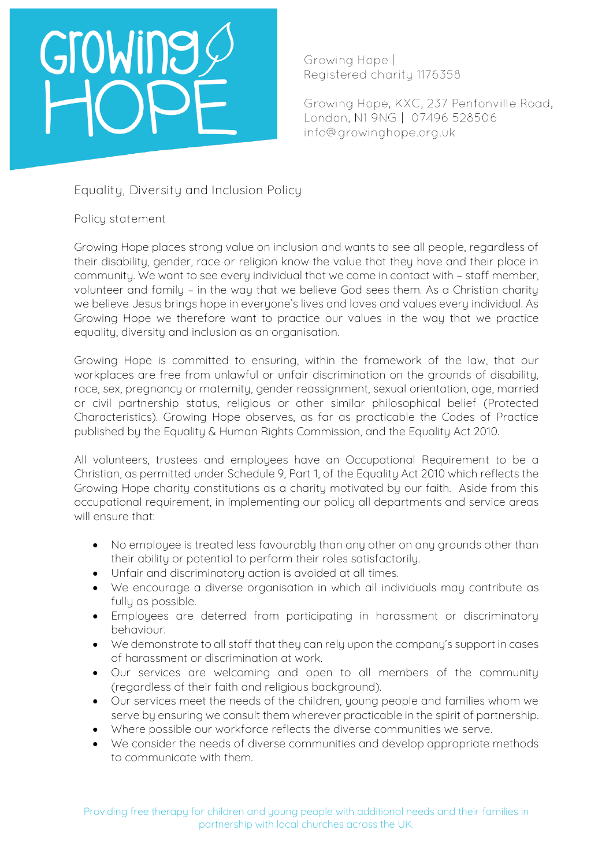# Growine

Growing Hope | Registered charity 1176358

Growing Hope, KXC, 237 Pentonville Road, London, N1 9NG | 07496 528506 info@growinghope.org.uk

**Equality, Diversity and Inclusion Policy** 

**Policy statement**

Growing Hope places strong value on inclusion and wants to see all people, regardless of their disability, gender, race or religion know the value that they have and their place in community. We want to see every individual that we come in contact with – staff member, volunteer and family – in the way that we believe God sees them. As a Christian charity we believe Jesus brings hope in everyone's lives and loves and values every individual. As Growing Hope we therefore want to practice our values in the way that we practice equality, diversity and inclusion as an organisation.

Growing Hope is committed to ensuring, within the framework of the law, that our workplaces are free from unlawful or unfair discrimination on the grounds of disability, race, sex, pregnancy or maternity, gender reassignment, sexual orientation, age, married or civil partnership status, religious or other similar philosophical belief (Protected Characteristics). Growing Hope observes, as far as practicable the Codes of Practice published by the Equality & Human Rights Commission, and the Equality Act 2010.

All volunteers, trustees and employees have an Occupational Requirement to be a Christian, as permitted under Schedule 9, Part 1, of the Equality Act 2010 which reflects the Growing Hope charity constitutions as a charity motivated by our faith. Aside from this occupational requirement, in implementing our policy all departments and service areas will ensure that:

- No employee is treated less favourably than any other on any grounds other than their ability or potential to perform their roles satisfactorily.
- Unfair and discriminatory action is avoided at all times.
- We encourage a diverse organisation in which all individuals may contribute as fully as possible.
- Employees are deterred from participating in harassment or discriminatory behaviour.
- We demonstrate to all staff that they can rely upon the company's support in cases of harassment or discrimination at work.
- Our services are welcoming and open to all members of the community (regardless of their faith and religious background).
- Our services meet the needs of the children, young people and families whom we serve by ensuring we consult them wherever practicable in the spirit of partnership.
- Where possible our workforce reflects the diverse communities we serve.
- We consider the needs of diverse communities and develop appropriate methods to communicate with them.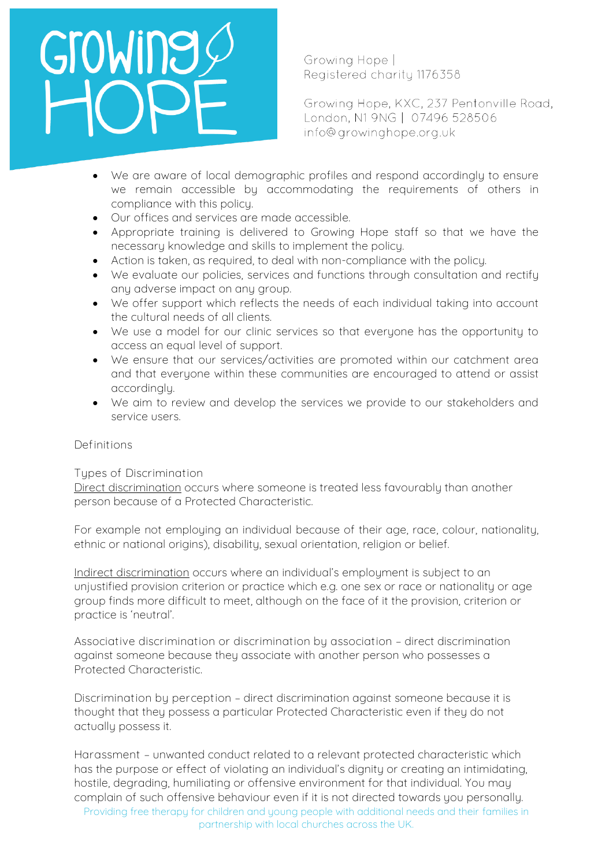# Growing

Growing Hope | Registered charity 1176358

Growing Hope, KXC, 237 Pentonville Road, London, N1 9NG | 07496 528506 info@growinghope.org.uk

- We are aware of local demographic profiles and respond accordingly to ensure we remain accessible by accommodating the requirements of others in compliance with this policy.
- Our offices and services are made accessible.
- Appropriate training is delivered to Growing Hope staff so that we have the necessary knowledge and skills to implement the policy.
- Action is taken, as required, to deal with non-compliance with the policy.
- We evaluate our policies, services and functions through consultation and rectify any adverse impact on any group.
- We offer support which reflects the needs of each individual taking into account the cultural needs of all clients.
- We use a model for our clinic services so that everyone has the opportunity to access an equal level of support.
- We ensure that our services/activities are promoted within our catchment area and that everyone within these communities are encouraged to attend or assist accordingly.
- We aim to review and develop the services we provide to our stakeholders and service users.

# **Definitions**

# **Types of Discrimination**

Direct discrimination occurs where someone is treated less favourably than another person because of a Protected Characteristic.

For example not employing an individual because of their age, race, colour, nationality, ethnic or national origins), disability, sexual orientation, religion or belief.

Indirect discrimination occurs where an individual's employment is subject to an unjustified provision criterion or practice which e.g. one sex or race or nationality or age group finds more difficult to meet, although on the face of it the provision, criterion or practice is 'neutral'.

**Associative discrimination or discrimination by association** – direct discrimination against someone because they associate with another person who possesses a Protected Characteristic.

**Discrimination by perception** – direct discrimination against someone because it is thought that they possess a particular Protected Characteristic even if they do not actually possess it.

**Harassment** – unwanted conduct related to a relevant protected characteristic which has the purpose or effect of violating an individual's dignity or creating an intimidating, hostile, degrading, humiliating or offensive environment for that individual. You may complain of such offensive behaviour even if it is not directed towards you personally.

Providing free therapy for children and young people with additional needs and their families in partnership with local churches across the UK.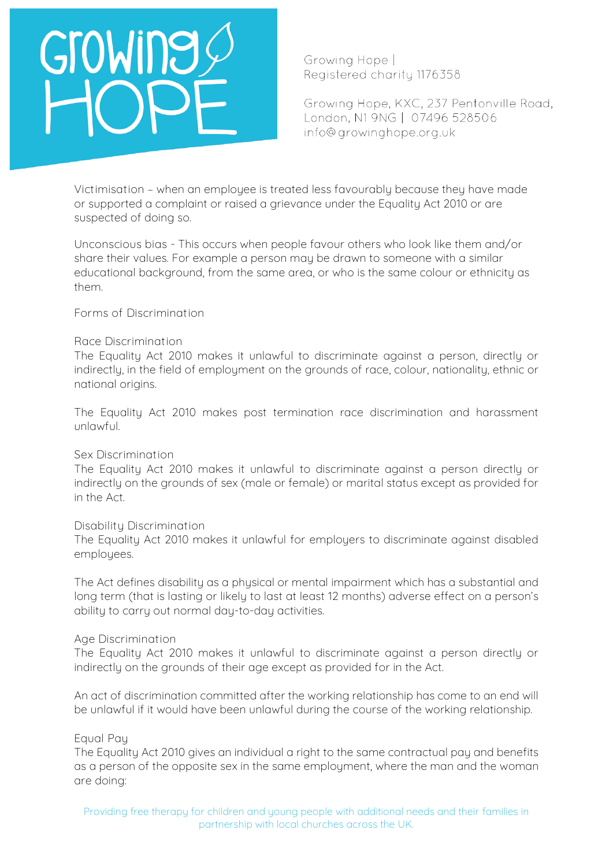# Growing

Growing Hope | Registered charity 1176358

Growing Hope, KXC, 237 Pentonville Road, London, N1 9NG | 07496 528506 info@growinghope.org.uk

**Victimisation** – when an employee is treated less favourably because they have made or supported a complaint or raised a grievance under the Equality Act 2010 or are suspected of doing so.

**Unconscious bias -** This occurs when people favour others who look like them and/or share their values. For example a person may be drawn to someone with a similar educational background, from the same area, or who is the same colour or ethnicity as them.

**Forms of Discrimination**

### **Race Discrimination**

The Equality Act 2010 makes it unlawful to discriminate against a person, directly or indirectly, in the field of employment on the grounds of race, colour, nationality, ethnic or national origins.

The Equality Act 2010 makes post termination race discrimination and harassment unlawful.

### **Sex Discrimination**

The Equality Act 2010 makes it unlawful to discriminate against a person directly or indirectly on the grounds of sex (male or female) or marital status except as provided for in the Act.

### **Disability Discrimination**

The Equality Act 2010 makes it unlawful for employers to discriminate against disabled employees.

The Act defines disability as a physical or mental impairment which has a substantial and long term (that is lasting or likely to last at least 12 months) adverse effect on a person's ability to carry out normal day-to-day activities.

### **Age Discrimination**

The Equality Act 2010 makes it unlawful to discriminate against a person directly or indirectly on the grounds of their age except as provided for in the Act.

An act of discrimination committed after the working relationship has come to an end will be unlawful if it would have been unlawful during the course of the working relationship.

# **Equal Pay**

The Equality Act 2010 gives an individual a right to the same contractual pay and benefits as a person of the opposite sex in the same employment, where the man and the woman are doing: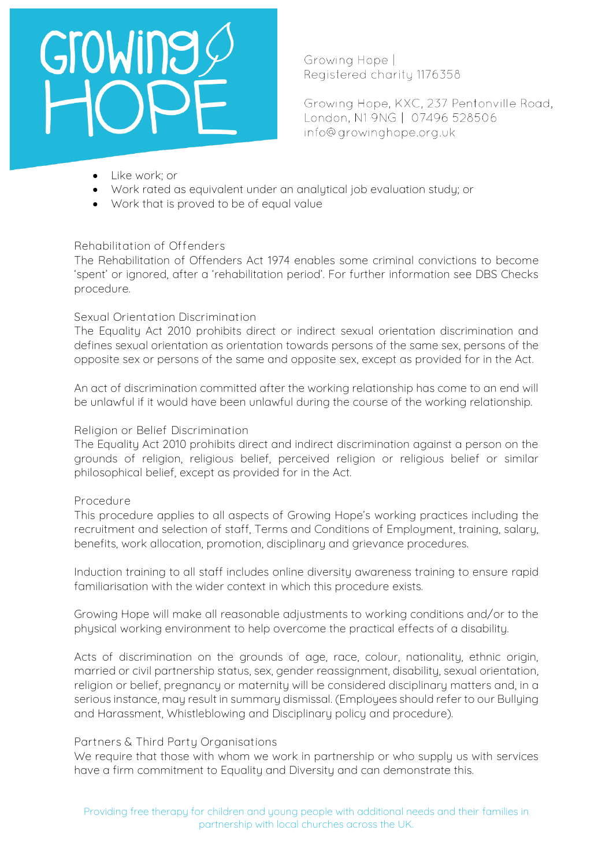# Growing

Growing Hope | Registered charity 1176358

Growing Hope, KXC, 237 Pentonville Road, London, N1 9NG | 07496 528506 info@growinghope.org.uk

- Like work; or
- Work rated as equivalent under an analytical job evaluation study; or
- Work that is proved to be of equal value

# **Rehabilitation of Offenders**

The Rehabilitation of Offenders Act 1974 enables some criminal convictions to become 'spent' or ignored, after a 'rehabilitation period'. For further information see DBS Checks procedure.

# **Sexual Orientation Discrimination**

The Equality Act 2010 prohibits direct or indirect sexual orientation discrimination and defines sexual orientation as orientation towards persons of the same sex, persons of the opposite sex or persons of the same and opposite sex, except as provided for in the Act.

An act of discrimination committed after the working relationship has come to an end will be unlawful if it would have been unlawful during the course of the working relationship.

# **Religion or Belief Discrimination**

The Equality Act 2010 prohibits direct and indirect discrimination against a person on the grounds of religion, religious belief, perceived religion or religious belief or similar philosophical belief, except as provided for in the Act.

# **Procedure**

This procedure applies to all aspects of Growing Hope's working practices including the recruitment and selection of staff, Terms and Conditions of Employment, training, salary, benefits, work allocation, promotion, disciplinary and grievance procedures.

Induction training to all staff includes online diversity awareness training to ensure rapid familiarisation with the wider context in which this procedure exists.

Growing Hope will make all reasonable adjustments to working conditions and/or to the physical working environment to help overcome the practical effects of a disability.

Acts of discrimination on the grounds of age, race, colour, nationality, ethnic origin, married or civil partnership status, sex, gender reassignment, disability, sexual orientation, religion or belief, pregnancy or maternity will be considered disciplinary matters and, in a serious instance, may result in summary dismissal. (Employees should refer to our Bullying and Harassment, Whistleblowing and Disciplinary policy and procedure).

# **Partners & Third Party Organisations**

We require that those with whom we work in partnership or who supply us with services have a firm commitment to Equality and Diversity and can demonstrate this.